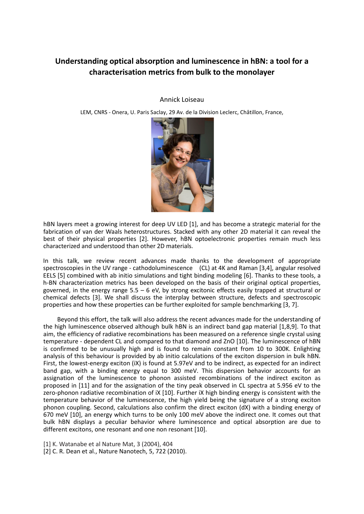## **Understanding optical absorption and luminescence in hBN: a tool for a characterisation metrics from bulk to the monolayer**

Annick Loiseau

LEM, CNRS - Onera, U. Paris Saclay, 29 Av. de la Division Leclerc, Châtillon, France,



hBN layers meet a growing interest for deep UV LED [1], and has become a strategic material for the fabrication of van der Waals heterostructures. Stacked with any other 2D material it can reveal the best of their physical properties [2]. However, hBN optoelectronic properties remain much less characterized and understood than other 2D materials.

In this talk, we review recent advances made thanks to the development of appropriate spectroscopies in the UV range - cathodoluminescence (CL) at 4K and Raman [3,4], angular resolved EELS [5] combined with ab initio simulations and tight binding modeling [6]. Thanks to these tools, a h-BN characterization metrics has been developed on the basis of their original optical properties, governed, in the energy range 5.5 – 6 eV, by strong excitonic effects easily trapped at structural or chemical defects [3]. We shall discuss the interplay between structure, defects and spectroscopic properties and how these properties can be further exploited for sample benchmarking [3, 7].

Beyond this effort, the talk will also address the recent advances made for the understanding of the high luminescence observed although bulk hBN is an indirect band gap material [1,8,9]. To that aim, the efficiency of radiative recombinations has been measured on a reference single crystal using temperature - dependent CL and compared to that diamond and ZnO [10]. The luminescence of hBN is confirmed to be unusually high and is found to remain constant from 10 to 300K. Enlighting analysis of this behaviour is provided by ab initio calculations of the exciton dispersion in bulk hBN. First, the lowest-energy exciton (iX) is found at 5.97eV and to be indirect, as expected for an indirect band gap, with a binding energy equal to 300 meV. This dispersion behavior accounts for an assignation of the luminescence to phonon assisted recombinations of the indirect exciton as proposed in [11] and for the assignation of the tiny peak observed in CL spectra at 5.956 eV to the zero-phonon radiative recombination of iX [10]. Further iX high binding energy is consistent with the temperature behavior of the luminescence, the high yield being the signature of a strong exciton phonon coupling. Second, calculations also confirm the direct exciton (dX) with a binding energy of 670 meV [10], an energy which turns to be only 100 meV above the indirect one. It comes out that bulk hBN displays a peculiar behavior where luminescence and optical absorption are due to different excitons, one resonant and one non resonant [10].

[1] K. Watanabe et al Nature Mat, 3 (2004), 404

[2] C. R. Dean et al., Nature Nanotech, 5, 722 (2010).